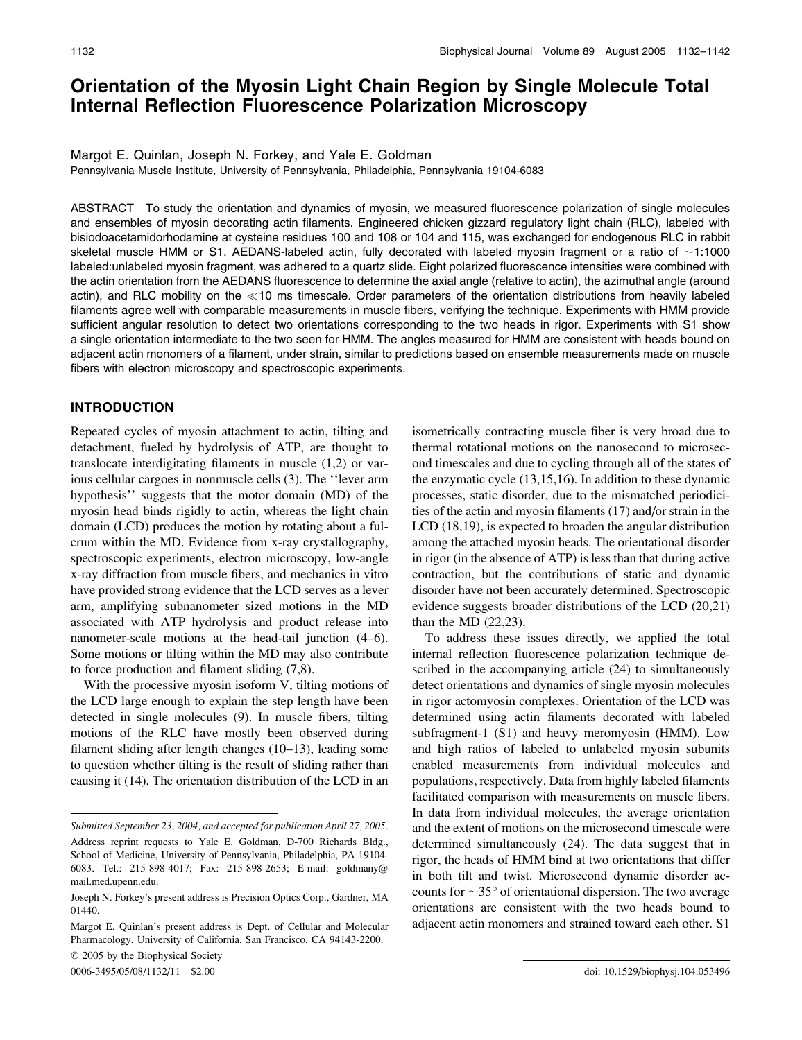# Orientation of the Myosin Light Chain Region by Single Molecule Total Internal Reflection Fluorescence Polarization Microscopy

### Margot E. Quinlan, Joseph N. Forkey, and Yale E. Goldman

Pennsylvania Muscle Institute, University of Pennsylvania, Philadelphia, Pennsylvania 19104-6083

ABSTRACT To study the orientation and dynamics of myosin, we measured fluorescence polarization of single molecules and ensembles of myosin decorating actin filaments. Engineered chicken gizzard regulatory light chain (RLC), labeled with bisiodoacetamidorhodamine at cysteine residues 100 and 108 or 104 and 115, was exchanged for endogenous RLC in rabbit skeletal muscle HMM or S1. AEDANS-labeled actin, fully decorated with labeled myosin fragment or a ratio of  $\sim$ 1:1000 labeled:unlabeled myosin fragment, was adhered to a quartz slide. Eight polarized fluorescence intensities were combined with the actin orientation from the AEDANS fluorescence to determine the axial angle (relative to actin), the azimuthal angle (around actin), and RLC mobility on the <10 ms timescale. Order parameters of the orientation distributions from heavily labeled filaments agree well with comparable measurements in muscle fibers, verifying the technique. Experiments with HMM provide sufficient angular resolution to detect two orientations corresponding to the two heads in rigor. Experiments with S1 show a single orientation intermediate to the two seen for HMM. The angles measured for HMM are consistent with heads bound on adjacent actin monomers of a filament, under strain, similar to predictions based on ensemble measurements made on muscle fibers with electron microscopy and spectroscopic experiments.

# INTRODUCTION

Repeated cycles of myosin attachment to actin, tilting and detachment, fueled by hydrolysis of ATP, are thought to translocate interdigitating filaments in muscle (1,2) or various cellular cargoes in nonmuscle cells (3). The ''lever arm hypothesis'' suggests that the motor domain (MD) of the myosin head binds rigidly to actin, whereas the light chain domain (LCD) produces the motion by rotating about a fulcrum within the MD. Evidence from x-ray crystallography, spectroscopic experiments, electron microscopy, low-angle x-ray diffraction from muscle fibers, and mechanics in vitro have provided strong evidence that the LCD serves as a lever arm, amplifying subnanometer sized motions in the MD associated with ATP hydrolysis and product release into nanometer-scale motions at the head-tail junction (4–6). Some motions or tilting within the MD may also contribute to force production and filament sliding (7,8).

With the processive myosin isoform V, tilting motions of the LCD large enough to explain the step length have been detected in single molecules (9). In muscle fibers, tilting motions of the RLC have mostly been observed during filament sliding after length changes (10–13), leading some to question whether tilting is the result of sliding rather than causing it (14). The orientation distribution of the LCD in an

 $© 2005$  by the Biophysical Society

isometrically contracting muscle fiber is very broad due to thermal rotational motions on the nanosecond to microsecond timescales and due to cycling through all of the states of the enzymatic cycle (13,15,16). In addition to these dynamic processes, static disorder, due to the mismatched periodicities of the actin and myosin filaments (17) and/or strain in the LCD (18,19), is expected to broaden the angular distribution among the attached myosin heads. The orientational disorder in rigor (in the absence of ATP) is less than that during active contraction, but the contributions of static and dynamic disorder have not been accurately determined. Spectroscopic evidence suggests broader distributions of the LCD (20,21) than the MD (22,23).

To address these issues directly, we applied the total internal reflection fluorescence polarization technique described in the accompanying article (24) to simultaneously detect orientations and dynamics of single myosin molecules in rigor actomyosin complexes. Orientation of the LCD was determined using actin filaments decorated with labeled subfragment-1 (S1) and heavy meromyosin (HMM). Low and high ratios of labeled to unlabeled myosin subunits enabled measurements from individual molecules and populations, respectively. Data from highly labeled filaments facilitated comparison with measurements on muscle fibers. In data from individual molecules, the average orientation and the extent of motions on the microsecond timescale were determined simultaneously (24). The data suggest that in rigor, the heads of HMM bind at two orientations that differ in both tilt and twist. Microsecond dynamic disorder accounts for  $\sim$ 35 $\degree$  of orientational dispersion. The two average orientations are consistent with the two heads bound to adjacent actin monomers and strained toward each other. S1

Submitted September 23, 2004, and accepted for publication April 27, 2005. Address reprint requests to Yale E. Goldman, D-700 Richards Bldg., School of Medicine, University of Pennsylvania, Philadelphia, PA 19104- 6083. Tel.: 215-898-4017; Fax: 215-898-2653; E-mail: goldmany@ mail.med.upenn.edu.

Joseph N. Forkey's present address is Precision Optics Corp., Gardner, MA 01440.

Margot E. Quinlan's present address is Dept. of Cellular and Molecular Pharmacology, University of California, San Francisco, CA 94143-2200.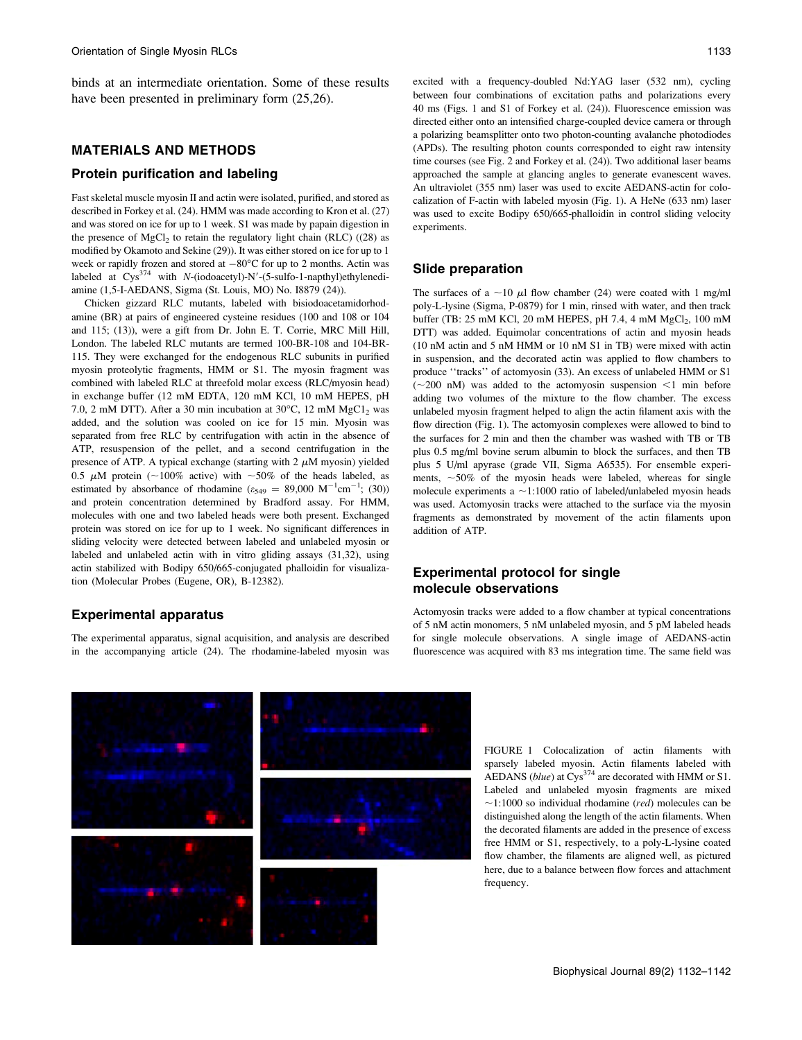binds at an intermediate orientation. Some of these results have been presented in preliminary form (25,26).

# MATERIALS AND METHODS

# Protein purification and labeling

Fast skeletal muscle myosin II and actin were isolated, purified, and stored as described in Forkey et al. (24). HMM was made according to Kron et al. (27) and was stored on ice for up to 1 week. S1 was made by papain digestion in the presence of  $MgCl<sub>2</sub>$  to retain the regulatory light chain (RLC) ((28) as modified by Okamoto and Sekine (29)). It was either stored on ice for up to 1 week or rapidly frozen and stored at  $-80^{\circ}$ C for up to 2 months. Actin was labeled at  $Cys^{374}$  with N-(iodoacetyl)-N'-(5-sulfo-1-napthyl)ethylenediamine (1,5-I-AEDANS, Sigma (St. Louis, MO) No. I8879 (24)).

Chicken gizzard RLC mutants, labeled with bisiodoacetamidorhodamine (BR) at pairs of engineered cysteine residues (100 and 108 or 104 and 115; (13)), were a gift from Dr. John E. T. Corrie, MRC Mill Hill, London. The labeled RLC mutants are termed 100-BR-108 and 104-BR-115. They were exchanged for the endogenous RLC subunits in purified myosin proteolytic fragments, HMM or S1. The myosin fragment was combined with labeled RLC at threefold molar excess (RLC/myosin head) in exchange buffer (12 mM EDTA, 120 mM KCl, 10 mM HEPES, pH 7.0, 2 mM DTT). After a 30 min incubation at 30°C, 12 mM  $MgCl<sub>2</sub>$  was added, and the solution was cooled on ice for 15 min. Myosin was separated from free RLC by centrifugation with actin in the absence of ATP, resuspension of the pellet, and a second centrifugation in the presence of ATP. A typical exchange (starting with  $2 \mu M$  myosin) yielded 0.5  $\mu$ M protein (~100% active) with ~50% of the heads labeled, as estimated by absorbance of rhodamine  $(\varepsilon_{549} = 89,000 \text{ M}^{-1} \text{cm}^{-1}; (30))$ and protein concentration determined by Bradford assay. For HMM, molecules with one and two labeled heads were both present. Exchanged protein was stored on ice for up to 1 week. No significant differences in sliding velocity were detected between labeled and unlabeled myosin or labeled and unlabeled actin with in vitro gliding assays (31,32), using actin stabilized with Bodipy 650/665-conjugated phalloidin for visualization (Molecular Probes (Eugene, OR), B-12382).

#### Experimental apparatus

The experimental apparatus, signal acquisition, and analysis are described in the accompanying article (24). The rhodamine-labeled myosin was excited with a frequency-doubled Nd:YAG laser (532 nm), cycling between four combinations of excitation paths and polarizations every 40 ms (Figs. 1 and S1 of Forkey et al. (24)). Fluorescence emission was directed either onto an intensified charge-coupled device camera or through a polarizing beamsplitter onto two photon-counting avalanche photodiodes (APDs). The resulting photon counts corresponded to eight raw intensity time courses (see Fig. 2 and Forkey et al. (24)). Two additional laser beams approached the sample at glancing angles to generate evanescent waves. An ultraviolet (355 nm) laser was used to excite AEDANS-actin for colocalization of F-actin with labeled myosin (Fig. 1). A HeNe (633 nm) laser was used to excite Bodipy 650/665-phalloidin in control sliding velocity experiments.

#### Slide preparation

The surfaces of a  $\sim$ 10  $\mu$ l flow chamber (24) were coated with 1 mg/ml poly-L-lysine (Sigma, P-0879) for 1 min, rinsed with water, and then track buffer (TB:  $25 \text{ mM KCl}$ ,  $20 \text{ mM HEPES}$ ,  $pH$  7.4,  $4 \text{ mM MgCl}_2$ ,  $100 \text{ mM}$ DTT) was added. Equimolar concentrations of actin and myosin heads (10 nM actin and 5 nM HMM or 10 nM S1 in TB) were mixed with actin in suspension, and the decorated actin was applied to flow chambers to produce ''tracks'' of actomyosin (33). An excess of unlabeled HMM or S1  $(-200 \text{ nM})$  was added to the actomyosin suspension  $\leq 1$  min before adding two volumes of the mixture to the flow chamber. The excess unlabeled myosin fragment helped to align the actin filament axis with the flow direction (Fig. 1). The actomyosin complexes were allowed to bind to the surfaces for 2 min and then the chamber was washed with TB or TB plus 0.5 mg/ml bovine serum albumin to block the surfaces, and then TB plus 5 U/ml apyrase (grade VII, Sigma A6535). For ensemble experiments,  $\sim$  50% of the myosin heads were labeled, whereas for single molecule experiments a  $\sim$ 1:1000 ratio of labeled/unlabeled myosin heads was used. Actomyosin tracks were attached to the surface via the myosin fragments as demonstrated by movement of the actin filaments upon addition of ATP.

# Experimental protocol for single molecule observations

Actomyosin tracks were added to a flow chamber at typical concentrations of 5 nM actin monomers, 5 nM unlabeled myosin, and 5 pM labeled heads for single molecule observations. A single image of AEDANS-actin fluorescence was acquired with 83 ms integration time. The same field was



FIGURE 1 Colocalization of actin filaments with sparsely labeled myosin. Actin filaments labeled with AEDANS (blue) at  $Cys^{374}$  are decorated with HMM or S1. Labeled and unlabeled myosin fragments are mixed  $\sim$ 1:1000 so individual rhodamine (red) molecules can be distinguished along the length of the actin filaments. When the decorated filaments are added in the presence of excess free HMM or S1, respectively, to a poly-L-lysine coated flow chamber, the filaments are aligned well, as pictured here, due to a balance between flow forces and attachment frequency.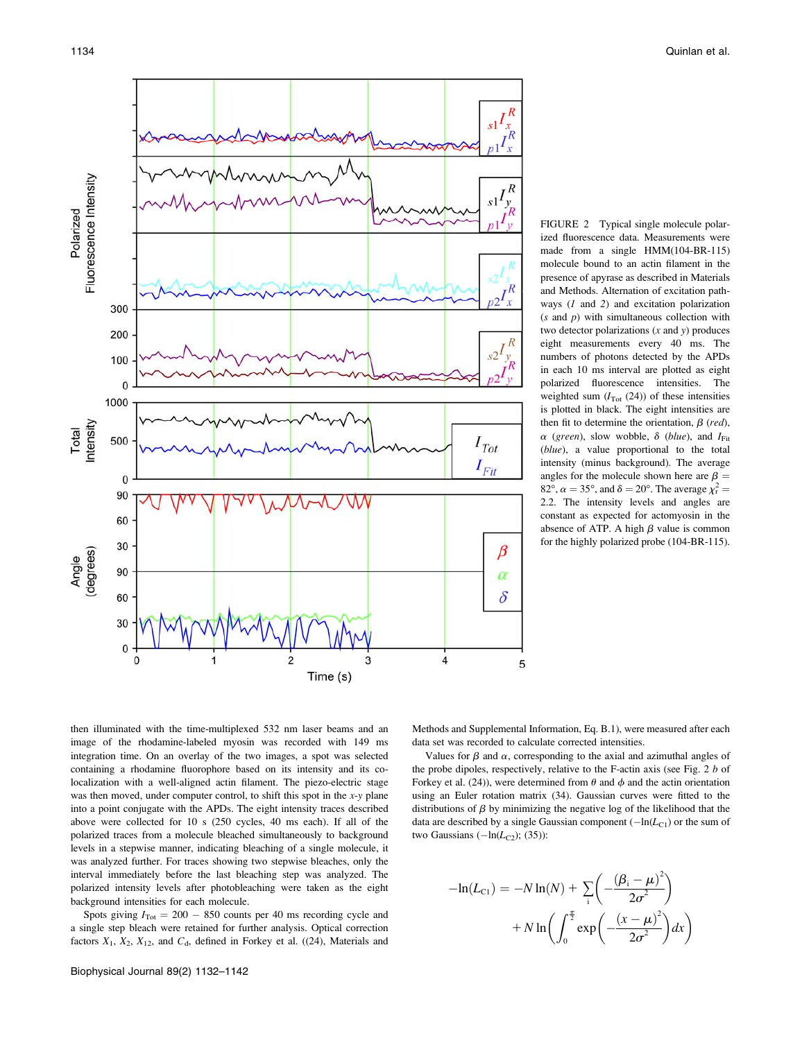

FIGURE 2 Typical single molecule polarized fluorescence data. Measurements were made from a single HMM(104-BR-115) molecule bound to an actin filament in the presence of apyrase as described in Materials and Methods. Alternation of excitation pathways  $(1 \text{ and } 2)$  and excitation polarization  $(s$  and  $p)$  with simultaneous collection with two detector polarizations  $(x \text{ and } y)$  produces eight measurements every 40 ms. The numbers of photons detected by the APDs in each 10 ms interval are plotted as eight polarized fluorescence intensities. The weighted sum  $(I<sub>Tot</sub> (24))$  of these intensities is plotted in black. The eight intensities are then fit to determine the orientation,  $\beta$  (red),  $\alpha$  (green), slow wobble,  $\delta$  (blue), and  $I_{\text{Fit}}$ (blue), a value proportional to the total intensity (minus background). The average angles for the molecule shown here are  $\beta =$ 82°,  $\alpha = 35$ °, and  $\delta = 20$ °. The average  $\chi_r^2 =$ 2.2. The intensity levels and angles are constant as expected for actomyosin in the absence of ATP. A high  $\beta$  value is common for the highly polarized probe (104-BR-115).

then illuminated with the time-multiplexed 532 nm laser beams and an image of the rhodamine-labeled myosin was recorded with 149 ms integration time. On an overlay of the two images, a spot was selected containing a rhodamine fluorophore based on its intensity and its colocalization with a well-aligned actin filament. The piezo-electric stage was then moved, under computer control, to shift this spot in the  $x$ -y plane into a point conjugate with the APDs. The eight intensity traces described above were collected for 10 s (250 cycles, 40 ms each). If all of the polarized traces from a molecule bleached simultaneously to background levels in a stepwise manner, indicating bleaching of a single molecule, it was analyzed further. For traces showing two stepwise bleaches, only the interval immediately before the last bleaching step was analyzed. The polarized intensity levels after photobleaching were taken as the eight background intensities for each molecule.

Spots giving  $I_{\text{Tot}} = 200 - 850$  counts per 40 ms recording cycle and a single step bleach were retained for further analysis. Optical correction factors  $X_1$ ,  $X_2$ ,  $X_{12}$ , and  $C_d$ , defined in Forkey et al. ((24), Materials and Methods and Supplemental Information, Eq. B.1), were measured after each data set was recorded to calculate corrected intensities.

Values for  $\beta$  and  $\alpha$ , corresponding to the axial and azimuthal angles of the probe dipoles, respectively, relative to the F-actin axis (see Fig. 2 b of Forkey et al. (24)), were determined from  $\theta$  and  $\phi$  and the actin orientation using an Euler rotation matrix (34). Gaussian curves were fitted to the distributions of  $\beta$  by minimizing the negative log of the likelihood that the data are described by a single Gaussian component  $(-\ln(L_{C1})$  or the sum of two Gaussians  $(-\ln(L_{C2}); (35))$ :

$$
-\ln(L_{\text{Cl}}) = -N \ln(N) + \sum_{i} \left( -\frac{(\beta_i - \mu)^2}{2\sigma^2} \right)
$$

$$
+ N \ln \left( \int_0^{\frac{\pi}{2}} \exp \left( -\frac{(x - \mu)^2}{2\sigma^2} \right) dx \right)
$$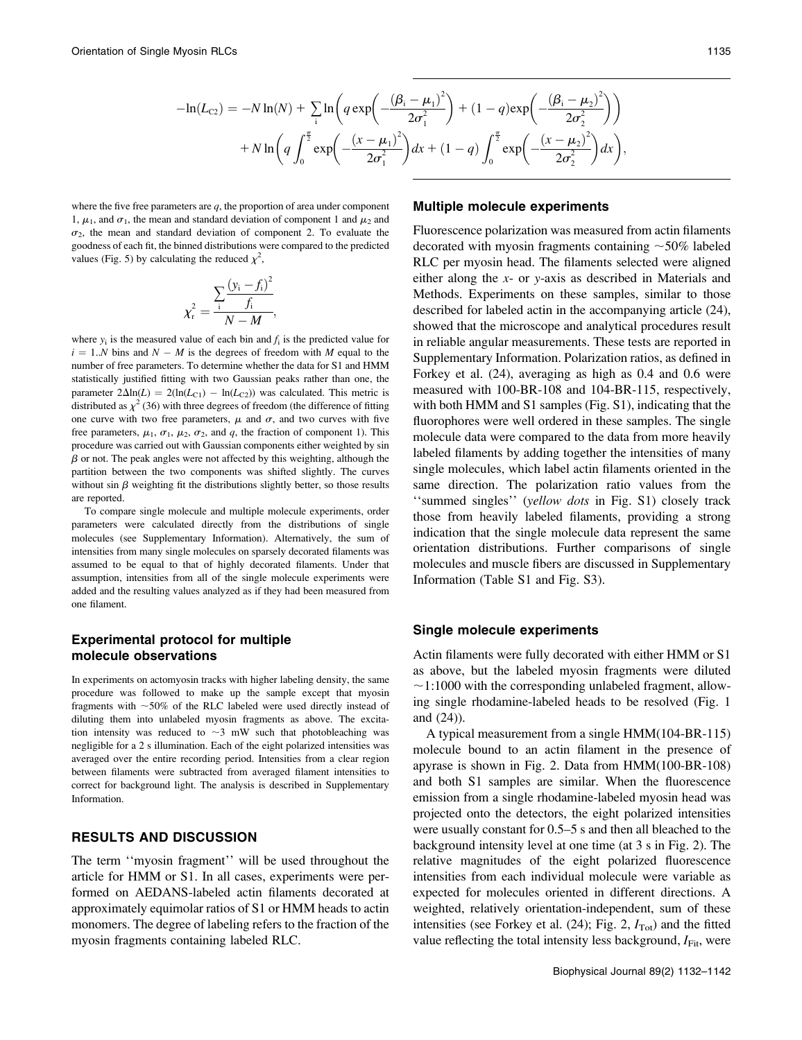$$
-\ln(L_{C2}) = -N \ln(N) + \sum_{i} \ln \left( q \exp \left( \frac{(\beta_{i} - \mu_{1})^{2}}{2\sigma_{1}^{2}} \right) + (1 - q) \exp \left( \frac{(\beta_{i} - \mu_{2})^{2}}{2\sigma_{2}^{2}} \right) \right) + N \ln \left( q \int_{0}^{\frac{\pi}{2}} \exp \left( \frac{(x - \mu_{1})^{2}}{2\sigma_{1}^{2}} \right) dx + (1 - q) \int_{0}^{\frac{\pi}{2}} \exp \left( \frac{(x - \mu_{2})^{2}}{2\sigma_{2}^{2}} \right) dx \right),
$$

where the five free parameters are  $q$ , the proportion of area under component 1,  $\mu_1$ , and  $\sigma_1$ , the mean and standard deviation of component 1 and  $\mu_2$  and  $\sigma_2$ , the mean and standard deviation of component 2. To evaluate the goodness of each fit, the binned distributions were compared to the predicted values (Fig. 5) by calculating the reduced  $\chi^2$ ,

$$
\chi_{\rm r}^2 = \frac{\sum_{i} \frac{(y_i - f_i)^2}{f_i}}{N - M},
$$

where  $y_i$  is the measured value of each bin and  $f_i$  is the predicted value for  $i = 1..N$  bins and  $N - M$  is the degrees of freedom with M equal to the number of free parameters. To determine whether the data for S1 and HMM statistically justified fitting with two Gaussian peaks rather than one, the parameter  $2\Delta \ln(L) = 2(\ln(L_{C1}) - \ln(L_{C2}))$  was calculated. This metric is distributed as  $\chi^2$  (36) with three degrees of freedom (the difference of fitting one curve with two free parameters,  $\mu$  and  $\sigma$ , and two curves with five free parameters,  $\mu_1$ ,  $\sigma_1$ ,  $\mu_2$ ,  $\sigma_2$ , and q, the fraction of component 1). This procedure was carried out with Gaussian components either weighted by sin  $\beta$  or not. The peak angles were not affected by this weighting, although the partition between the two components was shifted slightly. The curves without sin  $\beta$  weighting fit the distributions slightly better, so those results are reported.

To compare single molecule and multiple molecule experiments, order parameters were calculated directly from the distributions of single molecules (see Supplementary Information). Alternatively, the sum of intensities from many single molecules on sparsely decorated filaments was assumed to be equal to that of highly decorated filaments. Under that assumption, intensities from all of the single molecule experiments were added and the resulting values analyzed as if they had been measured from one filament.

# Experimental protocol for multiple molecule observations

In experiments on actomyosin tracks with higher labeling density, the same procedure was followed to make up the sample except that myosin fragments with  $\sim$  50% of the RLC labeled were used directly instead of diluting them into unlabeled myosin fragments as above. The excitation intensity was reduced to  $\sim$ 3 mW such that photobleaching was negligible for a 2 s illumination. Each of the eight polarized intensities was averaged over the entire recording period. Intensities from a clear region between filaments were subtracted from averaged filament intensities to correct for background light. The analysis is described in Supplementary Information.

# RESULTS AND DISCUSSION

The term ''myosin fragment'' will be used throughout the article for HMM or S1. In all cases, experiments were performed on AEDANS-labeled actin filaments decorated at approximately equimolar ratios of S1 or HMM heads to actin monomers. The degree of labeling refers to the fraction of the myosin fragments containing labeled RLC.

### Multiple molecule experiments

Fluorescence polarization was measured from actin filaments decorated with myosin fragments containing  $\sim$  50% labeled RLC per myosin head. The filaments selected were aligned either along the x- or y-axis as described in Materials and Methods. Experiments on these samples, similar to those described for labeled actin in the accompanying article (24), showed that the microscope and analytical procedures result in reliable angular measurements. These tests are reported in Supplementary Information. Polarization ratios, as defined in Forkey et al. (24), averaging as high as 0.4 and 0.6 were measured with 100-BR-108 and 104-BR-115, respectively, with both HMM and S1 samples (Fig. S1), indicating that the fluorophores were well ordered in these samples. The single molecule data were compared to the data from more heavily labeled filaments by adding together the intensities of many single molecules, which label actin filaments oriented in the same direction. The polarization ratio values from the "summed singles" (yellow dots in Fig. S1) closely track those from heavily labeled filaments, providing a strong indication that the single molecule data represent the same orientation distributions. Further comparisons of single molecules and muscle fibers are discussed in Supplementary Information (Table S1 and Fig. S3).

#### Single molecule experiments

Actin filaments were fully decorated with either HMM or S1 as above, but the labeled myosin fragments were diluted  $\sim$ 1:1000 with the corresponding unlabeled fragment, allowing single rhodamine-labeled heads to be resolved (Fig. 1 and (24)).

A typical measurement from a single HMM(104-BR-115) molecule bound to an actin filament in the presence of apyrase is shown in Fig. 2. Data from HMM(100-BR-108) and both S1 samples are similar. When the fluorescence emission from a single rhodamine-labeled myosin head was projected onto the detectors, the eight polarized intensities were usually constant for 0.5–5 s and then all bleached to the background intensity level at one time (at 3 s in Fig. 2). The relative magnitudes of the eight polarized fluorescence intensities from each individual molecule were variable as expected for molecules oriented in different directions. A weighted, relatively orientation-independent, sum of these intensities (see Forkey et al.  $(24)$ ; Fig. 2,  $I_{\text{Tot}}$ ) and the fitted value reflecting the total intensity less background,  $I_{\text{Fit}}$ , were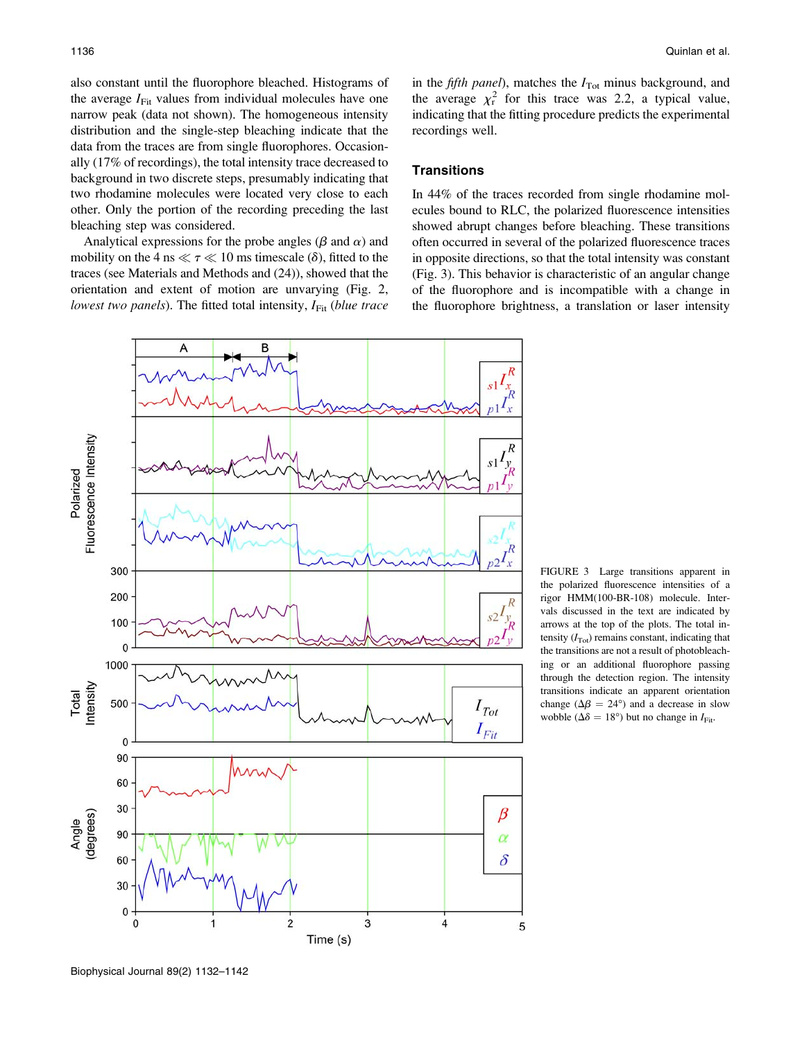also constant until the fluorophore bleached. Histograms of the average  $I_{Fit}$  values from individual molecules have one narrow peak (data not shown). The homogeneous intensity distribution and the single-step bleaching indicate that the data from the traces are from single fluorophores. Occasionally (17% of recordings), the total intensity trace decreased to background in two discrete steps, presumably indicating that two rhodamine molecules were located very close to each other. Only the portion of the recording preceding the last bleaching step was considered.

Analytical expressions for the probe angles ( $\beta$  and  $\alpha$ ) and mobility on the 4 ns  $\ll \tau \ll 10$  ms timescale ( $\delta$ ), fitted to the traces (see Materials and Methods and (24)), showed that the orientation and extent of motion are unvarying (Fig. 2, lowest two panels). The fitted total intensity,  $I_{Fit}$  (blue trace

FIGURE 3 Large transitions apparent in the polarized fluorescence intensities of a rigor HMM(100-BR-108) molecule. Intervals discussed in the text are indicated by arrows at the top of the plots. The total intensity  $(I_{\text{Tot}})$  remains constant, indicating that the transitions are not a result of photobleaching or an additional fluorophore passing through the detection region. The intensity transitions indicate an apparent orientation change ( $\Delta \beta = 24^{\circ}$ ) and a decrease in slow wobble ( $\Delta \delta = 18^{\circ}$ ) but no change in  $I_{\text{Fit}}$ .

in the *fifth panel*), matches the  $I_{\text{Tot}}$  minus background, and the average  $\chi^2$  for this trace was 2.2, a typical value, indicating that the fitting procedure predicts the experimental recordings well.

### **Transitions**

In 44% of the traces recorded from single rhodamine molecules bound to RLC, the polarized fluorescence intensities showed abrupt changes before bleaching. These transitions often occurred in several of the polarized fluorescence traces in opposite directions, so that the total intensity was constant (Fig. 3). This behavior is characteristic of an angular change of the fluorophore and is incompatible with a change in the fluorophore brightness, a translation or laser intensity



Biophysical Journal 89(2) 1132–1142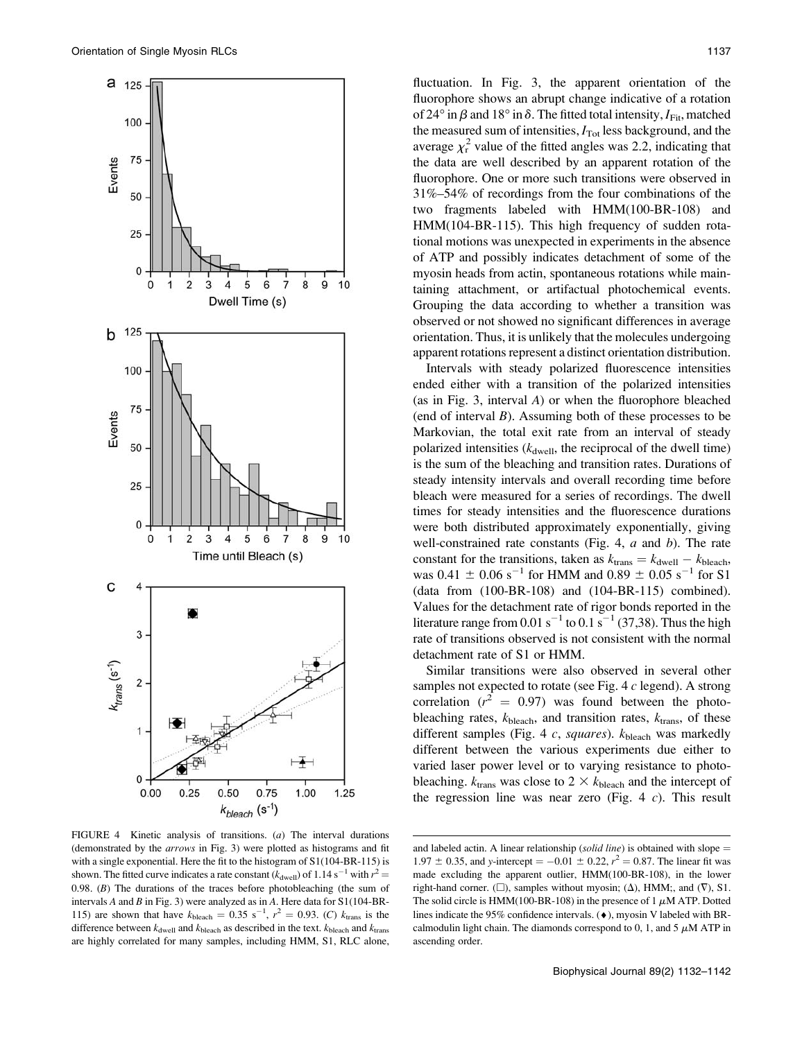

FIGURE 4 Kinetic analysis of transitions. (a) The interval durations (demonstrated by the arrows in Fig. 3) were plotted as histograms and fit with a single exponential. Here the fit to the histogram of  $S1(104-BR-115)$  is shown. The fitted curve indicates a rate constant ( $k_{\text{dwell}}$ ) of 1.14 s<sup>-1</sup> with  $r^2$  = 0.98.  $(B)$  The durations of the traces before photobleaching (the sum of intervals A and B in Fig. 3) were analyzed as in A. Here data for  $S1(104-BR-$ 115) are shown that have  $k_{\text{bleach}} = 0.35 \text{ s}^{-1}$ ,  $r^2 = 0.93$ . (C)  $k_{\text{trans}}$  is the difference between  $k_{\text{dwell}}$  and  $k_{\text{black}}$  as described in the text.  $k_{\text{bleach}}$  and  $k_{\text{trans}}$ are highly correlated for many samples, including HMM, S1, RLC alone,

fluctuation. In Fig. 3, the apparent orientation of the fluorophore shows an abrupt change indicative of a rotation of 24° in  $\beta$  and 18° in  $\delta$ . The fitted total intensity,  $I_{Fit}$ , matched the measured sum of intensities,  $I_{\text{Tot}}$  less background, and the average  $\chi^2$  value of the fitted angles was 2.2, indicating that the data are well described by an apparent rotation of the fluorophore. One or more such transitions were observed in 31%–54% of recordings from the four combinations of the two fragments labeled with HMM(100-BR-108) and HMM(104-BR-115). This high frequency of sudden rotational motions was unexpected in experiments in the absence of ATP and possibly indicates detachment of some of the myosin heads from actin, spontaneous rotations while maintaining attachment, or artifactual photochemical events. Grouping the data according to whether a transition was observed or not showed no significant differences in average orientation. Thus, it is unlikely that the molecules undergoing apparent rotations represent a distinct orientation distribution.

Intervals with steady polarized fluorescence intensities ended either with a transition of the polarized intensities (as in Fig. 3, interval A) or when the fluorophore bleached (end of interval  $B$ ). Assuming both of these processes to be Markovian, the total exit rate from an interval of steady polarized intensities  $(k_{\text{dwell}})$ , the reciprocal of the dwell time) is the sum of the bleaching and transition rates. Durations of steady intensity intervals and overall recording time before bleach were measured for a series of recordings. The dwell times for steady intensities and the fluorescence durations were both distributed approximately exponentially, giving well-constrained rate constants (Fig. 4,  $a$  and  $b$ ). The rate constant for the transitions, taken as  $k_{\text{trans}} = k_{\text{dwell}} - k_{\text{bleach}}$ , was  $0.41 \pm 0.06$  s<sup>-1</sup> for HMM and  $0.89 \pm 0.05$  s<sup>-1</sup> for S1 (data from (100-BR-108) and (104-BR-115) combined). Values for the detachment rate of rigor bonds reported in the literature range from  $0.01 \text{ s}^{-1}$  to  $0.1 \text{ s}^{-1}$  (37,38). Thus the high rate of transitions observed is not consistent with the normal detachment rate of S1 or HMM.

Similar transitions were also observed in several other samples not expected to rotate (see Fig. 4 c legend). A strong correlation ( $r^2 = 0.97$ ) was found between the photobleaching rates,  $k_{\text{bleach}}$ , and transition rates,  $k_{\text{trans}}$ , of these different samples (Fig. 4 c, squares).  $k_{\text{bleach}}$  was markedly different between the various experiments due either to varied laser power level or to varying resistance to photobleaching.  $k_{trans}$  was close to 2  $\times$   $k_{black}$  and the intercept of the regression line was near zero (Fig. 4  $c$ ). This result

and labeled actin. A linear relationship (solid line) is obtained with slope  $=$ 1.97  $\pm$  0.35, and y-intercept = -0.01  $\pm$  0.22,  $r^2$  = 0.87. The linear fit was made excluding the apparent outlier, HMM(100-BR-108), in the lower right-hand corner. ( $\square$ ), samples without myosin; ( $\Delta$ ), HMM;, and ( $\nabla$ ), S1. The solid circle is HMM(100-BR-108) in the presence of 1  $\mu$ M ATP. Dotted lines indicate the 95% confidence intervals.  $(\bullet)$ , myosin V labeled with BRcalmodulin light chain. The diamonds correspond to 0, 1, and 5  $\mu$ M ATP in ascending order.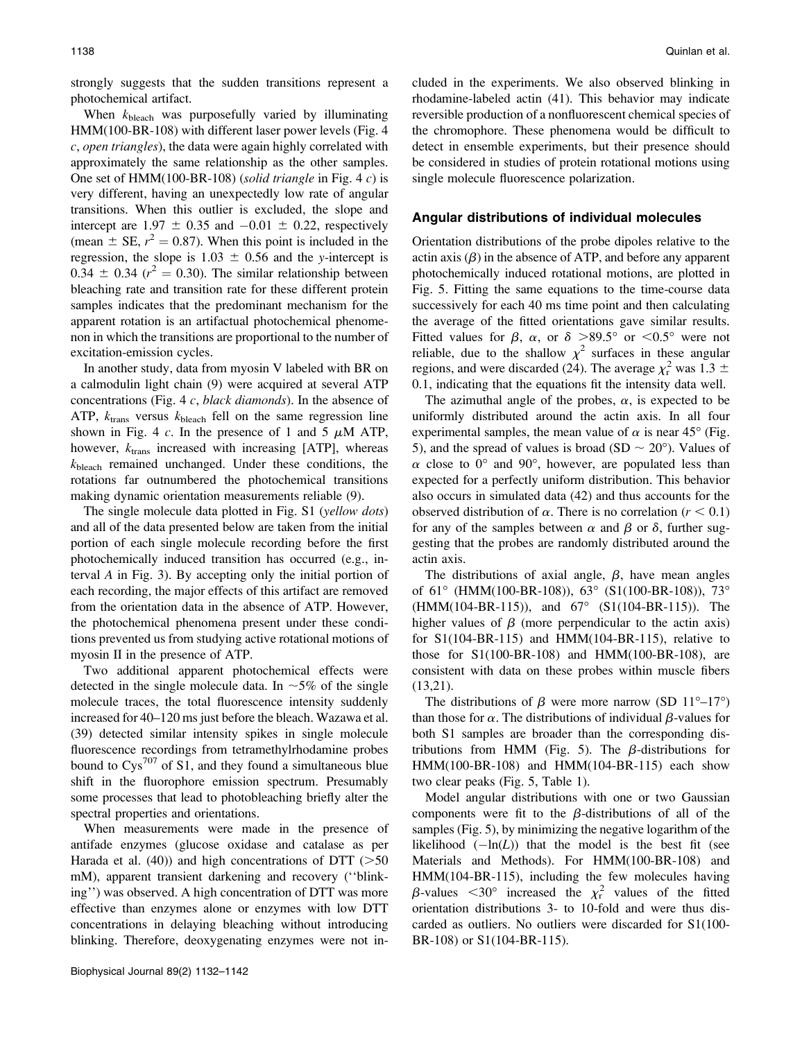strongly suggests that the sudden transitions represent a photochemical artifact.

When  $k<sub>bleach</sub>$  was purposefully varied by illuminating HMM(100-BR-108) with different laser power levels (Fig. 4 c, open triangles), the data were again highly correlated with approximately the same relationship as the other samples. One set of HMM(100-BR-108) (solid triangle in Fig. 4  $c$ ) is very different, having an unexpectedly low rate of angular transitions. When this outlier is excluded, the slope and intercept are  $1.97 \pm 0.35$  and  $-0.01 \pm 0.22$ , respectively (mean  $\pm$  SE,  $r^2 = 0.87$ ). When this point is included in the regression, the slope is  $1.03 \pm 0.56$  and the y-intercept is  $0.34 \pm 0.34$  ( $r^2 = 0.30$ ). The similar relationship between bleaching rate and transition rate for these different protein samples indicates that the predominant mechanism for the apparent rotation is an artifactual photochemical phenomenon in which the transitions are proportional to the number of excitation-emission cycles.

In another study, data from myosin V labeled with BR on a calmodulin light chain (9) were acquired at several ATP concentrations (Fig. 4 c, black diamonds). In the absence of ATP,  $k_{\text{trans}}$  versus  $k_{\text{bleach}}$  fell on the same regression line shown in Fig. 4 c. In the presence of 1 and 5  $\mu$ M ATP, however,  $k_{\text{trans}}$  increased with increasing [ATP], whereas kbleach remained unchanged. Under these conditions, the rotations far outnumbered the photochemical transitions making dynamic orientation measurements reliable (9).

The single molecule data plotted in Fig. S1 (yellow dots) and all of the data presented below are taken from the initial portion of each single molecule recording before the first photochemically induced transition has occurred (e.g., interval A in Fig. 3). By accepting only the initial portion of each recording, the major effects of this artifact are removed from the orientation data in the absence of ATP. However, the photochemical phenomena present under these conditions prevented us from studying active rotational motions of myosin II in the presence of ATP.

Two additional apparent photochemical effects were detected in the single molecule data. In  $\sim$ 5% of the single molecule traces, the total fluorescence intensity suddenly increased for 40–120 ms just before the bleach. Wazawa et al. (39) detected similar intensity spikes in single molecule fluorescence recordings from tetramethylrhodamine probes bound to  $Cys^{707}$  of S1, and they found a simultaneous blue shift in the fluorophore emission spectrum. Presumably some processes that lead to photobleaching briefly alter the spectral properties and orientations.

When measurements were made in the presence of antifade enzymes (glucose oxidase and catalase as per Harada et al. (40)) and high concentrations of DTT ( $>50$ mM), apparent transient darkening and recovery (''blinking'') was observed. A high concentration of DTT was more effective than enzymes alone or enzymes with low DTT concentrations in delaying bleaching without introducing blinking. Therefore, deoxygenating enzymes were not included in the experiments. We also observed blinking in rhodamine-labeled actin (41). This behavior may indicate reversible production of a nonfluorescent chemical species of the chromophore. These phenomena would be difficult to detect in ensemble experiments, but their presence should be considered in studies of protein rotational motions using single molecule fluorescence polarization.

#### Angular distributions of individual molecules

Orientation distributions of the probe dipoles relative to the actin axis  $(\beta)$  in the absence of ATP, and before any apparent photochemically induced rotational motions, are plotted in Fig. 5. Fitting the same equations to the time-course data successively for each 40 ms time point and then calculating the average of the fitted orientations gave similar results. Fitted values for  $\beta$ ,  $\alpha$ , or  $\delta$  >89.5° or <0.5° were not reliable, due to the shallow  $\chi^2$  surfaces in these angular regions, and were discarded (24). The average  $\chi^2$  was 1.3  $\pm$ 0.1, indicating that the equations fit the intensity data well.

The azimuthal angle of the probes,  $\alpha$ , is expected to be uniformly distributed around the actin axis. In all four experimental samples, the mean value of  $\alpha$  is near 45° (Fig. 5), and the spread of values is broad (SD  $\sim$  20<sup>o</sup>). Values of  $\alpha$  close to 0° and 90°, however, are populated less than expected for a perfectly uniform distribution. This behavior also occurs in simulated data (42) and thus accounts for the observed distribution of  $\alpha$ . There is no correlation ( $r < 0.1$ ) for any of the samples between  $\alpha$  and  $\beta$  or  $\delta$ , further suggesting that the probes are randomly distributed around the actin axis.

The distributions of axial angle,  $\beta$ , have mean angles of  $61^{\circ}$  (HMM(100-BR-108)),  $63^{\circ}$  (S1(100-BR-108)),  $73^{\circ}$  $(HMM(104-BR-115))$ , and  $67^{\circ}$   $(S1(104-BR-115))$ . The higher values of  $\beta$  (more perpendicular to the actin axis) for S1(104-BR-115) and HMM(104-BR-115), relative to those for S1(100-BR-108) and HMM(100-BR-108), are consistent with data on these probes within muscle fibers (13,21).

The distributions of  $\beta$  were more narrow (SD 11<sup>o</sup>-17<sup>o</sup>) than those for  $\alpha$ . The distributions of individual  $\beta$ -values for both S1 samples are broader than the corresponding distributions from HMM (Fig. 5). The  $\beta$ -distributions for HMM(100-BR-108) and HMM(104-BR-115) each show two clear peaks (Fig. 5, Table 1).

Model angular distributions with one or two Gaussian components were fit to the  $\beta$ -distributions of all of the samples (Fig. 5), by minimizing the negative logarithm of the likelihood  $(-\ln(L))$  that the model is the best fit (see Materials and Methods). For HMM(100-BR-108) and HMM(104-BR-115), including the few molecules having  $\beta$ -values <30° increased the  $\chi_r^2$  values of the fitted orientation distributions 3- to 10-fold and were thus discarded as outliers. No outliers were discarded for S1(100- BR-108) or S1(104-BR-115).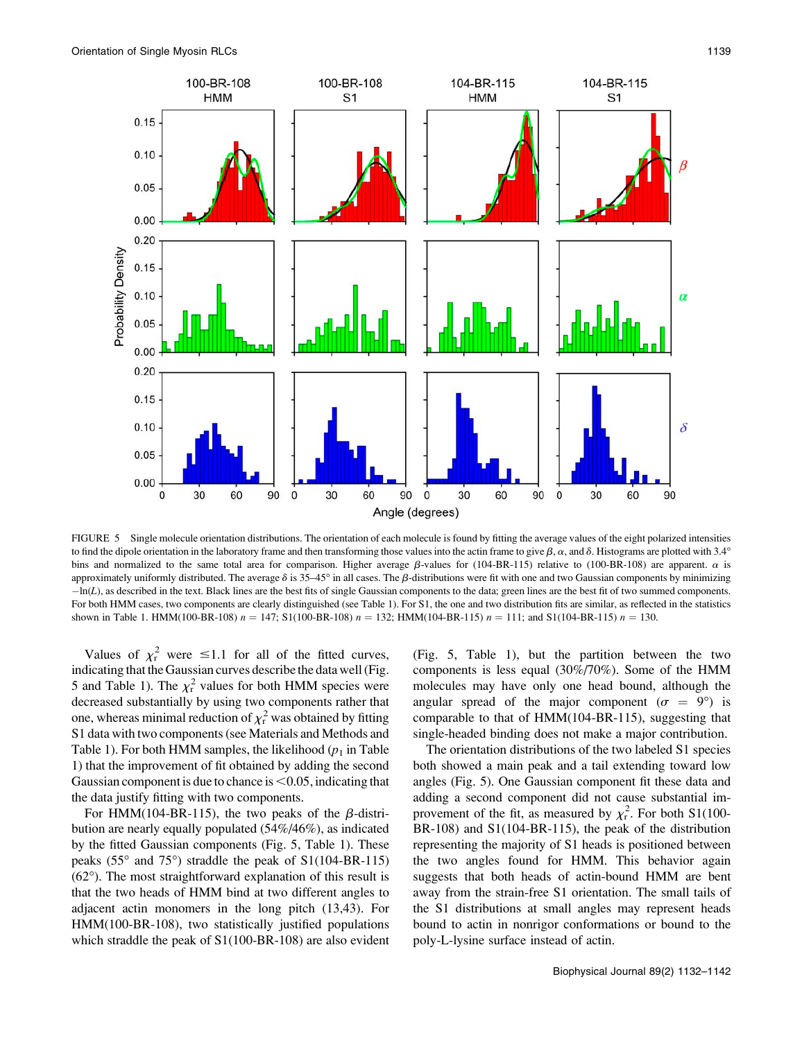

FIGURE 5 Single molecule orientation distributions. The orientation of each molecule is found by fitting the average values of the eight polarized intensities to find the dipole orientation in the laboratory frame and then transforming those values into the actin frame to give  $\beta$ ,  $\alpha$ , and  $\delta$ . Histograms are plotted with 3.4° bins and normalized to the same total area for comparison. Higher average  $\beta$ -values for (104-BR-115) relative to (100-BR-108) are apparent.  $\alpha$  is approximately uniformly distributed. The average  $\delta$  is 35–45° in all cases. The  $\beta$ -distributions were fit with one and two Gaussian components by minimizing  $-h(L)$ , as described in the text. Black lines are the best fits of single Gaussian components to the data; green lines are the best fit of two summed components. For both HMM cases, two components are clearly distinguished (see Table 1). For S1, the one and two distribution fits are similar, as reflected in the statistics shown in Table 1. HMM(100-BR-108)  $n = 147$ ; S1(100-BR-108)  $n = 132$ ; HMM(104-BR-115)  $n = 111$ ; and S1(104-BR-115)  $n = 130$ .

Values of  $\chi^2$  were  $\leq 1.1$  for all of the fitted curves, indicating that the Gaussian curves describe the data well (Fig. 5 and Table 1). The  $\chi^2$  values for both HMM species were decreased substantially by using two components rather that one, whereas minimal reduction of  $\chi^2$  was obtained by fitting S1 data with two components (see Materials and Methods and Table 1). For both HMM samples, the likelihood  $(p_1$  in Table 1) that the improvement of fit obtained by adding the second Gaussian component is due to chance is  $\leq 0.05$ , indicating that the data justify fitting with two components.

For HMM(104-BR-115), the two peaks of the  $\beta$ -distribution are nearly equally populated (54%/46%), as indicated by the fitted Gaussian components (Fig. 5, Table 1). These peaks (55 $\degree$  and 75 $\degree$ ) straddle the peak of S1(104-BR-115)  $(62^{\circ})$ . The most straightforward explanation of this result is that the two heads of HMM bind at two different angles to adjacent actin monomers in the long pitch (13,43). For HMM(100-BR-108), two statistically justified populations which straddle the peak of S1(100-BR-108) are also evident

(Fig. 5, Table 1), but the partition between the two components is less equal (30%/70%). Some of the HMM molecules may have only one head bound, although the angular spread of the major component ( $\sigma = 9^{\circ}$ ) is comparable to that of HMM(104-BR-115), suggesting that single-headed binding does not make a major contribution.

The orientation distributions of the two labeled S1 species both showed a main peak and a tail extending toward low angles (Fig. 5). One Gaussian component fit these data and adding a second component did not cause substantial improvement of the fit, as measured by  $\chi^2$ . For both S1(100-BR-108) and S1(104-BR-115), the peak of the distribution representing the majority of S1 heads is positioned between the two angles found for HMM. This behavior again suggests that both heads of actin-bound HMM are bent away from the strain-free S1 orientation. The small tails of the S1 distributions at small angles may represent heads bound to actin in nonrigor conformations or bound to the poly-L-lysine surface instead of actin.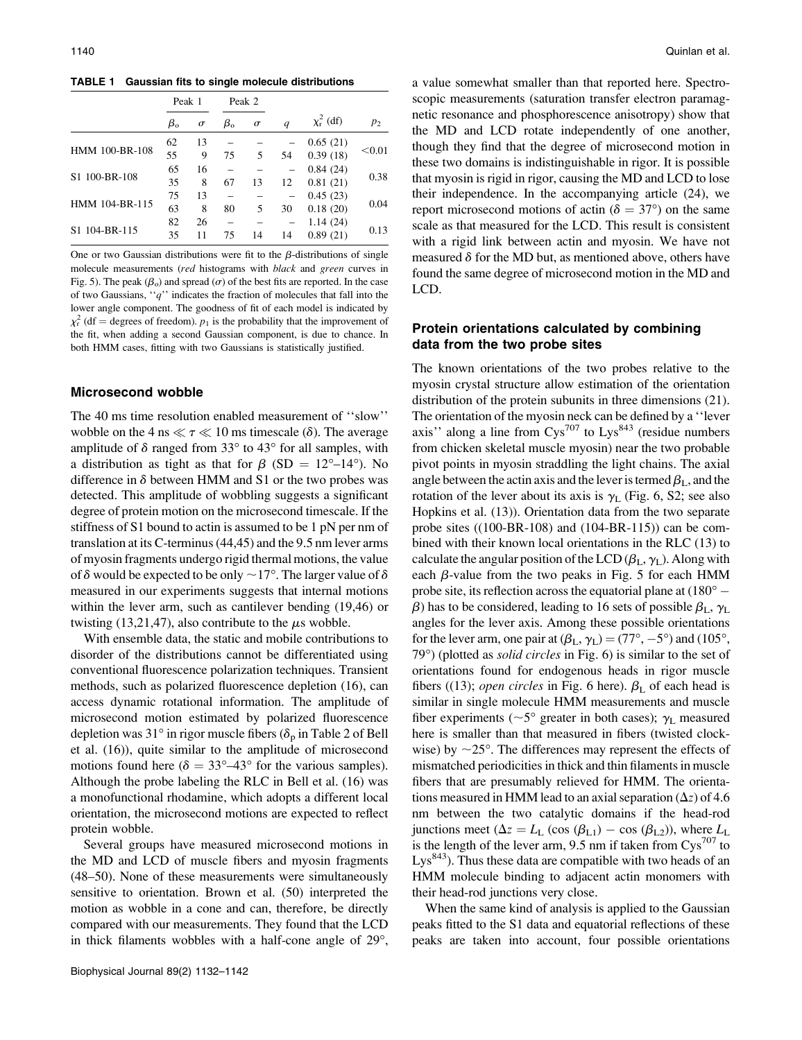TABLE 1 Gaussian fits to single molecule distributions

|                           | Peak 1          |          | Peak 2          |          |    |                       |        |
|---------------------------|-----------------|----------|-----------------|----------|----|-----------------------|--------|
|                           | $\beta_{\rm o}$ | $\sigma$ | $\beta_{\rm o}$ | $\sigma$ | q  | $\chi^2_{\rm r}$ (df) | $p_2$  |
| HMM 100-BR-108            | 62              | 13       |                 |          |    | 0.65(21)              |        |
|                           | 55              | 9        | 75              | 5        | 54 | 0.39(18)              | < 0.01 |
| S1 100-BR-108             | 65              | 16       |                 |          |    | 0.84(24)              | 0.38   |
|                           | 35              | 8        | 67              | 13       | 12 | 0.81(21)              |        |
| HMM 104-BR-115            | 75              | 13       |                 |          |    | 0.45(23)              |        |
|                           | 63              | 8        | 80              | 5        | 30 | 0.18(20)              | 0.04   |
| S <sub>1</sub> 104-BR-115 | 82              | 26       |                 |          |    | 1.14(24)              |        |
|                           | 35              | 11       | 75              | 14       | 14 | 0.89(21)              | 0.13   |

One or two Gaussian distributions were fit to the  $\beta$ -distributions of single molecule measurements (red histograms with black and green curves in Fig. 5). The peak ( $\beta_0$ ) and spread ( $\sigma$ ) of the best fits are reported. In the case of two Gaussians, " $q$ " indicates the fraction of molecules that fall into the lower angle component. The goodness of fit of each model is indicated by  $\chi^2$  (df = degrees of freedom).  $p_1$  is the probability that the improvement of the fit, when adding a second Gaussian component, is due to chance. In both HMM cases, fitting with two Gaussians is statistically justified.

### Microsecond wobble

The 40 ms time resolution enabled measurement of ''slow'' wobble on the 4 ns  $\ll \tau \ll 10$  ms timescale ( $\delta$ ). The average amplitude of  $\delta$  ranged from 33 $\degree$  to 43 $\degree$  for all samples, with a distribution as tight as that for  $\beta$  (SD = 12°–14°). No difference in  $\delta$  between HMM and S1 or the two probes was detected. This amplitude of wobbling suggests a significant degree of protein motion on the microsecond timescale. If the stiffness of S1 bound to actin is assumed to be 1 pN per nm of translation at its C-terminus (44,45) and the 9.5 nm lever arms of myosin fragments undergo rigid thermal motions, the value of  $\delta$  would be expected to be only  $\sim$  17°. The larger value of  $\delta$ measured in our experiments suggests that internal motions within the lever arm, such as cantilever bending (19,46) or twisting (13,21,47), also contribute to the  $\mu$ s wobble.

With ensemble data, the static and mobile contributions to disorder of the distributions cannot be differentiated using conventional fluorescence polarization techniques. Transient methods, such as polarized fluorescence depletion (16), can access dynamic rotational information. The amplitude of microsecond motion estimated by polarized fluorescence depletion was 31° in rigor muscle fibers ( $\delta_{\rm n}$  in Table 2 of Bell et al. (16)), quite similar to the amplitude of microsecond motions found here ( $\delta = 33^{\circ} - 43^{\circ}$  for the various samples). Although the probe labeling the RLC in Bell et al. (16) was a monofunctional rhodamine, which adopts a different local orientation, the microsecond motions are expected to reflect protein wobble.

Several groups have measured microsecond motions in the MD and LCD of muscle fibers and myosin fragments (48–50). None of these measurements were simultaneously sensitive to orientation. Brown et al. (50) interpreted the motion as wobble in a cone and can, therefore, be directly compared with our measurements. They found that the LCD in thick filaments wobbles with a half-cone angle of  $29^\circ$ ,

a value somewhat smaller than that reported here. Spectroscopic measurements (saturation transfer electron paramagnetic resonance and phosphorescence anisotropy) show that the MD and LCD rotate independently of one another, though they find that the degree of microsecond motion in these two domains is indistinguishable in rigor. It is possible that myosin is rigid in rigor, causing the MD and LCD to lose their independence. In the accompanying article (24), we report microsecond motions of actin ( $\delta = 37^{\circ}$ ) on the same scale as that measured for the LCD. This result is consistent with a rigid link between actin and myosin. We have not measured  $\delta$  for the MD but, as mentioned above, others have found the same degree of microsecond motion in the MD and LCD.

## Protein orientations calculated by combining data from the two probe sites

The known orientations of the two probes relative to the myosin crystal structure allow estimation of the orientation distribution of the protein subunits in three dimensions (21). The orientation of the myosin neck can be defined by a ''lever axis'' along a line from  $Cys^{707}$  to  $Lys^{843}$  (residue numbers from chicken skeletal muscle myosin) near the two probable pivot points in myosin straddling the light chains. The axial angle between the actin axis and the lever is termed  $\beta_L$ , and the rotation of the lever about its axis is  $\gamma_L$  (Fig. 6, S2; see also Hopkins et al. (13)). Orientation data from the two separate probe sites ((100-BR-108) and (104-BR-115)) can be combined with their known local orientations in the RLC (13) to calculate the angular position of the LCD  $(\beta_L, \gamma_L)$ . Along with each  $\beta$ -value from the two peaks in Fig. 5 for each HMM probe site, its reflection across the equatorial plane at  $(180^{\circ} \beta$ ) has to be considered, leading to 16 sets of possible  $\beta_L$ ,  $\gamma_L$ angles for the lever axis. Among these possible orientations for the lever arm, one pair at  $(\beta_L, \gamma_L) = (77^\circ, -5^\circ)$  and  $(105^\circ,$  $79^{\circ}$ ) (plotted as *solid circles* in Fig. 6) is similar to the set of orientations found for endogenous heads in rigor muscle fibers ((13); *open circles* in Fig. 6 here).  $\beta_L$  of each head is similar in single molecule HMM measurements and muscle fiber experiments ( $\sim$ 5° greater in both cases);  $\gamma_L$  measured here is smaller than that measured in fibers (twisted clockwise) by  $\sim$ 25°. The differences may represent the effects of mismatched periodicities in thick and thin filaments in muscle fibers that are presumably relieved for HMM. The orientations measured in HMM lead to an axial separation  $(\Delta z)$  of 4.6 nm between the two catalytic domains if the head-rod junctions meet ( $\Delta z = L_L$  (cos ( $\beta_{L1}$ ) – cos ( $\beta_{L2}$ )), where  $L_L$ is the length of the lever arm, 9.5 nm if taken from  $\text{Cys}^{707}$  to  $Lys<sup>843</sup>$ ). Thus these data are compatible with two heads of an HMM molecule binding to adjacent actin monomers with their head-rod junctions very close.

When the same kind of analysis is applied to the Gaussian peaks fitted to the S1 data and equatorial reflections of these peaks are taken into account, four possible orientations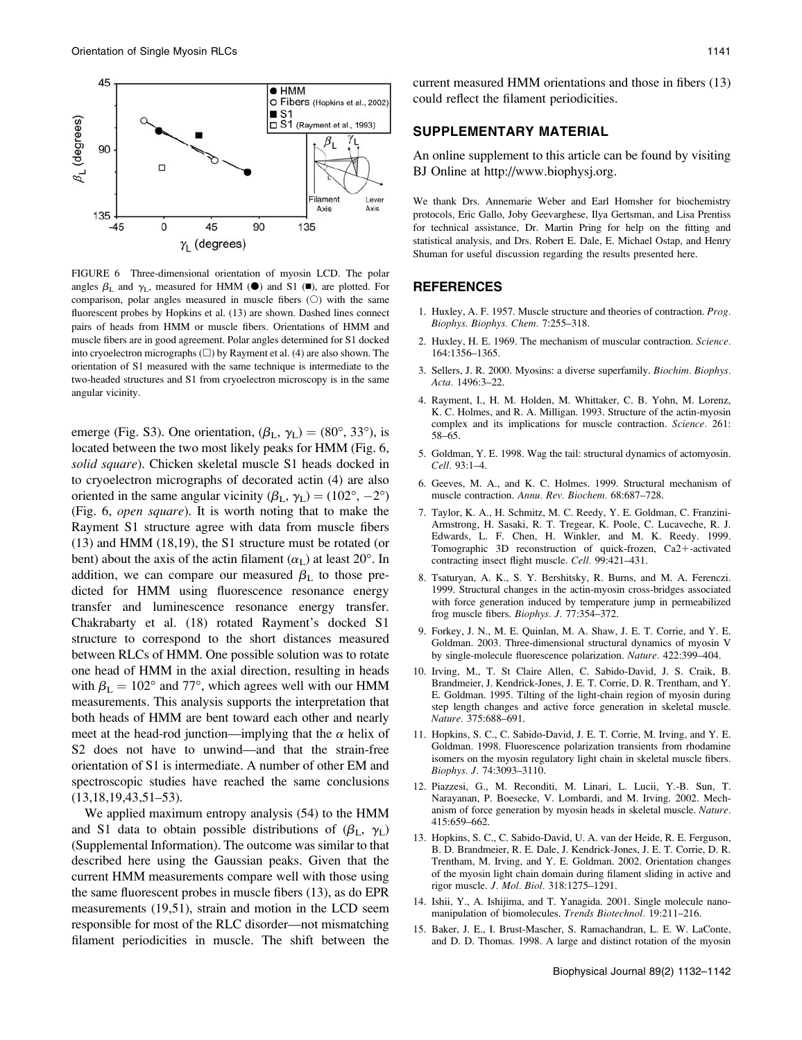

FIGURE 6 Three-dimensional orientation of myosin LCD. The polar angles  $\beta_L$  and  $\gamma_L$ , measured for HMM ( $\bullet$ ) and S1 ( $\bullet$ ), are plotted. For comparison, polar angles measured in muscle fibers  $(O)$  with the same fluorescent probes by Hopkins et al. (13) are shown. Dashed lines connect pairs of heads from HMM or muscle fibers. Orientations of HMM and muscle fibers are in good agreement. Polar angles determined for S1 docked into cryoelectron micrographs  $(\square)$  by Rayment et al. (4) are also shown. The orientation of S1 measured with the same technique is intermediate to the two-headed structures and S1 from cryoelectron microscopy is in the same angular vicinity.

emerge (Fig. S3). One orientation,  $(\beta_L, \gamma_L) = (80^\circ, 33^\circ)$ , is located between the two most likely peaks for HMM (Fig. 6, solid square). Chicken skeletal muscle S1 heads docked in to cryoelectron micrographs of decorated actin (4) are also oriented in the same angular vicinity  $(\beta_L, \gamma_L) = (102^{\circ}, -2^{\circ})$ (Fig. 6, open square). It is worth noting that to make the Rayment S1 structure agree with data from muscle fibers (13) and HMM (18,19), the S1 structure must be rotated (or bent) about the axis of the actin filament  $(\alpha_L)$  at least 20°. In addition, we can compare our measured  $\beta_L$  to those predicted for HMM using fluorescence resonance energy transfer and luminescence resonance energy transfer. Chakrabarty et al. (18) rotated Rayment's docked S1 structure to correspond to the short distances measured between RLCs of HMM. One possible solution was to rotate one head of HMM in the axial direction, resulting in heads with  $\beta_{\rm L} = 102^{\circ}$  and 77°, which agrees well with our HMM measurements. This analysis supports the interpretation that both heads of HMM are bent toward each other and nearly meet at the head-rod junction—implying that the  $\alpha$  helix of S2 does not have to unwind—and that the strain-free orientation of S1 is intermediate. A number of other EM and spectroscopic studies have reached the same conclusions (13,18,19,43,51–53).

We applied maximum entropy analysis (54) to the HMM and S1 data to obtain possible distributions of  $(\beta_L, \gamma_L)$ (Supplemental Information). The outcome was similar to that described here using the Gaussian peaks. Given that the current HMM measurements compare well with those using the same fluorescent probes in muscle fibers (13), as do EPR measurements (19,51), strain and motion in the LCD seem responsible for most of the RLC disorder—not mismatching filament periodicities in muscle. The shift between the

current measured HMM orientations and those in fibers (13) could reflect the filament periodicities.

### SUPPLEMENTARY MATERIAL

An online supplement to this article can be found by visiting BJ Online at http://www.biophysj.org.

We thank Drs. Annemarie Weber and Earl Homsher for biochemistry protocols, Eric Gallo, Joby Geevarghese, Ilya Gertsman, and Lisa Prentiss for technical assistance, Dr. Martin Pring for help on the fitting and statistical analysis, and Drs. Robert E. Dale, E. Michael Ostap, and Henry Shuman for useful discussion regarding the results presented here.

## REFERENCES

- 1. Huxley, A. F. 1957. Muscle structure and theories of contraction. Prog. Biophys. Biophys. Chem. 7:255–318.
- 2. Huxley, H. E. 1969. The mechanism of muscular contraction. Science. 164:1356–1365.
- 3. Sellers, J. R. 2000. Myosins: a diverse superfamily. Biochim. Biophys. Acta. 1496:3–22.
- 4. Rayment, I., H. M. Holden, M. Whittaker, C. B. Yohn, M. Lorenz, K. C. Holmes, and R. A. Milligan. 1993. Structure of the actin-myosin complex and its implications for muscle contraction. Science. 261: 58–65.
- 5. Goldman, Y. E. 1998. Wag the tail: structural dynamics of actomyosin. Cell. 93:1–4.
- 6. Geeves, M. A., and K. C. Holmes. 1999. Structural mechanism of muscle contraction. Annu. Rev. Biochem. 68:687–728.
- 7. Taylor, K. A., H. Schmitz, M. C. Reedy, Y. E. Goldman, C. Franzini-Armstrong, H. Sasaki, R. T. Tregear, K. Poole, C. Lucaveche, R. J. Edwards, L. F. Chen, H. Winkler, and M. K. Reedy. 1999. Tomographic 3D reconstruction of quick-frozen,  $Ca2+$ -activated contracting insect flight muscle. Cell. 99:421–431.
- 8. Tsaturyan, A. K., S. Y. Bershitsky, R. Burns, and M. A. Ferenczi. 1999. Structural changes in the actin-myosin cross-bridges associated with force generation induced by temperature jump in permeabilized frog muscle fibers. Biophys. J. 77:354–372.
- 9. Forkey, J. N., M. E. Quinlan, M. A. Shaw, J. E. T. Corrie, and Y. E. Goldman. 2003. Three-dimensional structural dynamics of myosin V by single-molecule fluorescence polarization. Nature. 422:399–404.
- 10. Irving, M., T. St Claire Allen, C. Sabido-David, J. S. Craik, B. Brandmeier, J. Kendrick-Jones, J. E. T. Corrie, D. R. Trentham, and Y. E. Goldman. 1995. Tilting of the light-chain region of myosin during step length changes and active force generation in skeletal muscle. Nature. 375:688–691.
- 11. Hopkins, S. C., C. Sabido-David, J. E. T. Corrie, M. Irving, and Y. E. Goldman. 1998. Fluorescence polarization transients from rhodamine isomers on the myosin regulatory light chain in skeletal muscle fibers. Biophys. J. 74:3093–3110.
- 12. Piazzesi, G., M. Reconditi, M. Linari, L. Lucii, Y.-B. Sun, T. Narayanan, P. Boesecke, V. Lombardi, and M. Irving. 2002. Mechanism of force generation by myosin heads in skeletal muscle. Nature. 415:659–662.
- 13. Hopkins, S. C., C. Sabido-David, U. A. van der Heide, R. E. Ferguson, B. D. Brandmeier, R. E. Dale, J. Kendrick-Jones, J. E. T. Corrie, D. R. Trentham, M. Irving, and Y. E. Goldman. 2002. Orientation changes of the myosin light chain domain during filament sliding in active and rigor muscle. J. Mol. Biol. 318:1275–1291.
- 14. Ishii, Y., A. Ishijima, and T. Yanagida. 2001. Single molecule nanomanipulation of biomolecules. Trends Biotechnol. 19:211–216.
- 15. Baker, J. E., I. Brust-Mascher, S. Ramachandran, L. E. W. LaConte, and D. D. Thomas. 1998. A large and distinct rotation of the myosin